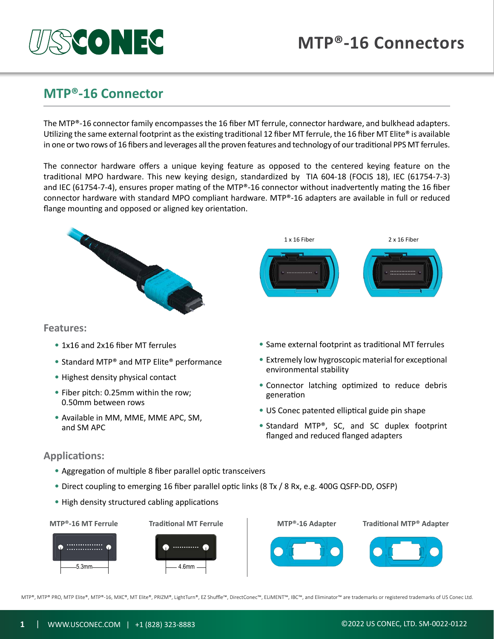# **MTP®-16 Connectors**

# **MTP®-16 Connector**

**PF | ', [ o ]** 

The MTP®-16 connector family encompasses the 16 fiber MT ferrule, connector hardware, and bulkhead adapters. Utilizing the same external footprint as the existing traditional 12 fiber MT ferrule, the 16 fiber MT Elite® is available in one or two rows of 16 fibers and leverages all the proven features and technology of our traditional PPS MT ferrules.

The connector hardware offers a unique keying feature as opposed to the centered keying feature on the traditional MPO hardware. This new keying design, standardized by TIA 604-18 (FOCIS 18), IEC (61754-7-3) and IEC (61754-7-4), ensures proper mating of the MTP®-16 connector without inadvertently mating the 16 fiber connector hardware with standard MPO compliant hardware. MTP®-16 adapters are available in full or reduced flange mounting and opposed or aligned key orientation.



- Standard MTP® and MTP Elite® performance
- Highest density physical contact
- Fiber pitch: 0.25mm within the row; 0.50mm between rows
- Available in MM, MME, MME APC, SM, and SM APC
- 
- Extremely low hygroscopic material for exceptional environmental stability
- Connector latching optimized to reduce debris generation
- US Conec patented elliptical guide pin shape
- Standard MTP®, SC, and SC duplex footprint flanged and reduced flanged adapters

#### **Applications:**

- Aggregation of multiple 8 fiber parallel optic transceivers
- Direct coupling to emerging 16 fiber parallel optic links (8 Tx / 8 Rx, e.g. 400G QSFP-DD, OSFP)
- High density structured cabling applications



MTP®, MTP® PRO, MTP Elite®, MTP®-16, MXC®, MT Elite®, PRIZM®, LightTurn®, EZ Shuffle™, DirectConec™, ELiMENT™, IBC™, and Eliminator™ are trademarks or registered trademarks of US Conec Ltd.